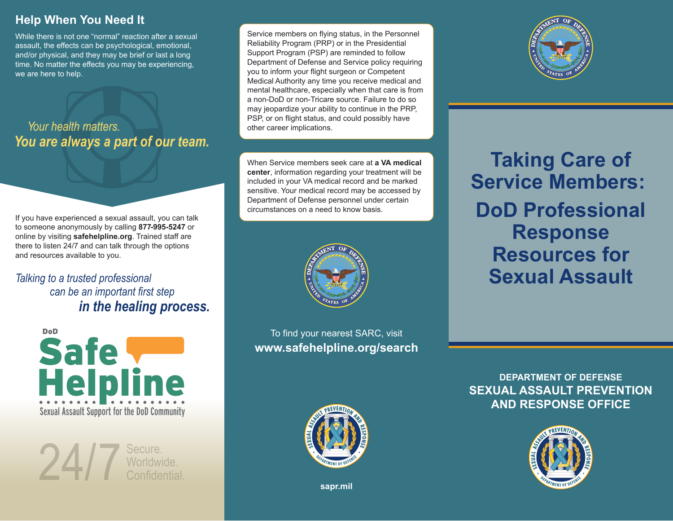# **Help When You Need It**

While there is not one "normal" reaction after a sexual assault, the effects can be psychological, emotional, and/or physical, and they may be brief or last a long time. No matter the effects you may be experiencing, we are here to help.

*Your health matters.You are always a part of our team.*

If you have experienced a sexual assault, you can talk to someone anonymously by calling **877-995-5247** or online by visiting **safehelpline.org**. Trained staff are there to listen 24/7 and can talk through the options and resources available to you.

## *can be an important first step in the healing process. Talking to a trusted professional*



Secure. Worldwide.  $24/7$ Confidential. Service members on flying status, in the Personnel Reliability Program (PRP) or in the Presidential Support Program (PSP) are reminded to follow Department of Defense and Service policy requiring you to inform your flight surgeon or Competent Medical Authority any time you receive medical and mental healthcare, especially when that care is from a non-DoD or non-Tricare source. Failure to do so may jeopardize your ability to continue in the PRP, PSP, or on flight status, and could possibly have other career implications.

When Service members seek care at **a VA medical center**, information regarding your treatment will be included in your VA medical record and be marked sensitive. Your medical record may be accessed by Department of Defense personnel under certain circumstances on a need to know basis.



To find your nearest SARC, visit **www.safehelpline.org/search**



**Taking Care of Service Members: DoD ProfessionalResponse Resources forSexual Assault**

**DEPARTMENT OF DEFENSESEXUAL ASSAULT PREVENTIONAND RESPONSE OFFICE**





**sapr.mil**